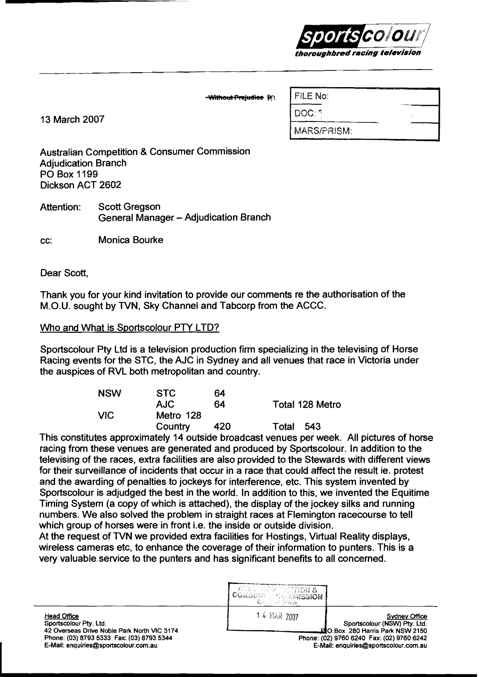

**Without Prejudice IM** 

13 March 2007

| FILE No:    |  |
|-------------|--|
| DOC: 7      |  |
| MARS/PRISM: |  |

Australian Competition & Consumer Commission Adjudication Branch PO Box 1199 Dickson ACT 2602

Attention: Scott Gregson **General Manager - Adjudication Branch** 

CC: Monica Bourke

Dear Scott,

Thank you for your kind invitation to provide our comments re the authorisation of the M.O.U. sought by TVN, Sky Channel and Tabcorp from the ACCC.

#### Who and What is Sportscolour PTY LTD?

Sportscolour Pty Ltd is a television production firm specializing in the televising of Horse Racing events for the STC, the AJC in Sydney and all venues that race in Victoria under the auspices of RVL both metropolitan and country.

| <b>NSW</b> | <b>STC</b> | 64  |                 |
|------------|------------|-----|-----------------|
|            | <b>AJC</b> | 64  | Total 128 Metro |
| VIC.       | Metro 128  |     |                 |
|            | Country    | 420 | Total<br>543    |

This constitutes approximately 14 outside broadcast venues per week. All pictures of horse racing from these venues are generated and produced by Sportscolour. In addition to the televising of the races, extra facilities are also provided to the Stewards with different views for their surveillance of incidents that occur in a race that could affect the result ie. protest and the awarding of penalties to jockeys for interference, etc. This system invented by Sportscolour is adjudged the best in the world. In addition to this, we invented the Equitime Timing System (a copy of which is attached), the display of the jockey silks and running numbers. We also solved the problem in straight races at Flemington racecourse to tell which group of horses were in front i.e. the inside or outside division.

At the request of TVN we provided extra facilities for Hostings, Virtual Reality displays, wireless cameras etc, to enhance the coverage of their information to punters. This is a very valuable service to the punters and has significant benefits to all concerned.

|                                                                                                                                                                                   | ARIA  COVER STITION &<br><b><i>LCONSULPER COMMISSION</i></b><br>- CAP RAYARA |                                                                                                                                                                                 |
|-----------------------------------------------------------------------------------------------------------------------------------------------------------------------------------|------------------------------------------------------------------------------|---------------------------------------------------------------------------------------------------------------------------------------------------------------------------------|
| <b>Head Office</b><br>Sportscolour Ptv. Ltd.<br>42 Overseas Drive Noble Park North VIC 3174<br>Phone: (03) 8793 5333 Fax: (03) 8793 5344<br>E-Mail: enquiries@sportscolour.com.au | 14 MAR 2007                                                                  | <b>Sydney Office</b><br>Sportscolour (NSW) Pty. Ltd.<br>LEIO.Box 280 Harris Park NSW 2150<br>Phone: (02) 9760 6240 Fax: (02) 9760 6242<br>E-Mail: enquiries@sportscolour.com.au |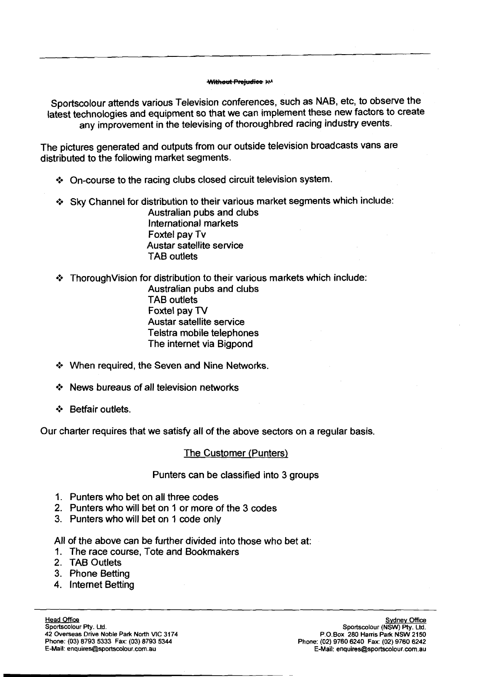#### **Without Prejudice IM**

Sportscolour attends various Television conferences, such as NAB, etc, to observe the latest technologies and equipment so that we can implement these new factors to create any improvement in the televising of thoroughbred racing industry events.

The pictures generated and outputs from our outside television broadcasts vans are distributed to the following market segments.

- $\div$  On-course to the racing clubs closed circuit television system.
- \*:\* **Sky** Channel for distribution to their various market segments which include: Australian pubs and clubs

International markets Foxtel pay Tv Austar satellite service TAB outlets

\* Thorough Vision for distribution to their various markets which include:

Australian pubs and clubs TAB outlets Foxtel pay TV Austar satellite service Telstra mobile telephones The internet via Bigpond

- \*:\* When required, the Seven and Nine Networks.
- \* News bureaus of all television networks
- \*:\* Betfair outlets.

Our charter requires that we satisfy all of the above sectors on a regular basis.

#### 'The Customer (Punters)

#### Punters can be classified into 3 groups

- **1.** Punters who bet on all three codes
- 2. Punters who will bet on 1 or more of the 3 codes
- 3. Punters who will bet on 1 code only

All of the above can be further divided into those who bet at:

- **1.** The race course, Tote and Bookmakers
- 2. TAB Outlets
- 3. Phone Betting
- 4. Internet Betting

**Head Office Sportscolour Pty. Ltd. 42 Overseas Drive Noble Park North VIC 3174 Phone: (03) 8793 5333 Fax: (03) 8793 5344 E-Mail: enquires&sportscolour.corn.au** 

**Svdnev Office Sportscolour (NSW) Pty. Ltd. P.O.Box 280 Harris Park NSW 2150 Phone: (02) 9760 6240 Fax: (02) 9760 6242 E-Mail: enquires@sportscolour.corn.au**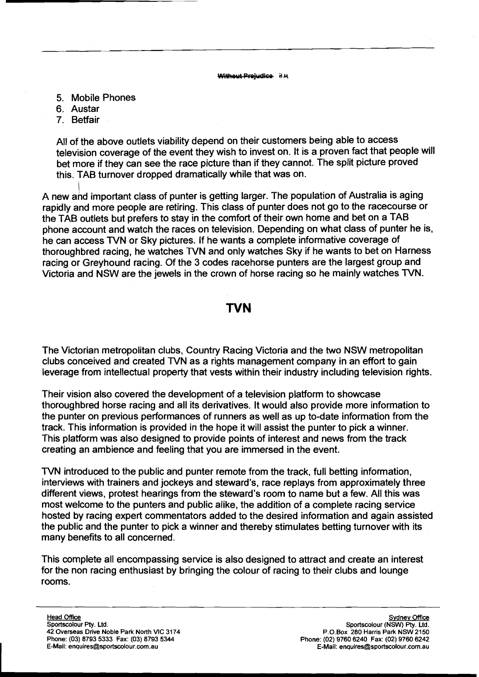Without Projudice H.M.

- 5. Mobile Phones
- 6. Austar
- 7. Betfair

All of the above outlets viability depend on their customers being able to access television coverage of the event they wish to invest on. It is a proven fact that people will bet more if they can see the race picture than if they cannot. The split picture proved this. TAB turnover dropped dramatically while that was on.

A new and important class of punter is getting larger. The population of Australia is aging rapidly and more people are retiring. This class of punter does not go to the racecourse or the TAB outlets but prefers to stay in the comfort of their own home and bet on a TAB phone account and watch the races on television. Depending on what class of punter he is, he can access WN or Sky pictures. If he wants a complete informative coverage of thoroughbred racing, he watches TVN and only watches Sky if he wants to bet on Harness racing or Greyhound racing. Of the 3 codes racehorse punters are the largest group and Victoria and NSW are the jewels in the crown of horse racing so he mainly watches TVN.

## **TVN**

The Victorian metropolitan clubs, Country Racing Victoria and the two NSW metropolitan clubs conceived and created TVN as a rights management company in an effort to gain leverage from intellectual property that vests within their industry including television rights.

Their vision also covered the development of a television platform to showcase thoroughbred horse racing and all its derivatives. It would also provide more information to the punter on previous performances of runners as well as up to-date information from the track. This information is provided in the hope it will assist the punter to pick a winner. This platform was also designed to provide points of interest and news from the track creating an ambience and feeling that you are immersed in the event.

TVN introduced to the public and punter remote from the track, full betting information, interviews with trainers and jockeys and steward's, race replays from approximately three different views, protest hearings from the steward's room to name but a few. All this was most welcome to the punters and public alike, the addition of a complete racing service hosted by racing expert commentators added to the desired information and again assisted the public and the punter to pick a winner and thereby stimulates betting turnover with its many benefits to all concerned.

This complete all encompassing service is also designed to attract and create an interest for the non racing enthusiast by bringing the colour of racing to their clubs and lounge rooms.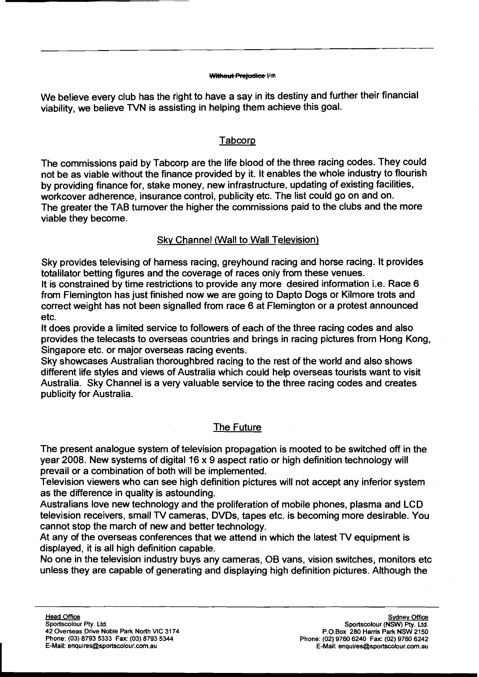#### Without Prejudice Hm

We believe every club has the right to have a say in its destiny and further their financial viability, we believe TVN is assisting in helping them achieve this goal.

## Tabcorp

The commissions paid by Tabcorp are the life blood of the three racing codes. They could not be as viable without the finance provided by it. It enables the whole industry to flourish by providing finance for, stake money, new infrastructure, updating of existing facilities, workcover adherence, insurance control, publicity etc. The list could go on and on. The greater the TAB turnover the higher the commissions paid to the clubs and the more viable they become.

## Sky Channel (Wall to Wall Television)

Sky provides televising of harness racing, greyhound racing and horse racing. It provides totalilator betting figures and the coverage of races only from these venues.

It is constrained by time restrictions to provide any more desired information i.e. Race 6 from Flemington has just finished now we are going to Dapto Dogs or Kilmore trots and correct weight has not been signalled from race 6 at Flemington or a protest announced etc.

It does provide a limited service to followers of each of the three racing codes and also provides the telecasts to overseas countries and brings in racing pictures from Hong Kong, Singapore etc. or major overseas racing events.

Sky showcases Australian thoroughbred racing to the rest of the world and also shows different life styles and views of Australia which could help overseas tourists want to visit Australia. Sky Channel is a very valuable service to the three racing codes and creates publicity for Australia.

## The Future

The present analogue system of television propagation is mooted to be switched off in the year 2008. New systems of digital 16 x 9 aspect ratio or high definition technology will prevail or a combination of both will be implemented.

Television viewers who can see high definition pictures will not accept any inferior system as the difference in quality is astounding.

Australians love new technology and the proliferation of mobile phones, plasma and LCD television receivers, small TV cameras, DVDs, tapes etc. is becoming more desirable. You cannot stop the march of new and better technology.

At any of the overseas conferences that we attend in which the latest TV equipment is displayed, it is all high definition capable.

No one in the television industry buys any cameras, OB vans, vision switches, monitors etc unless they are capable of generating and displaying high definition pictures. Although the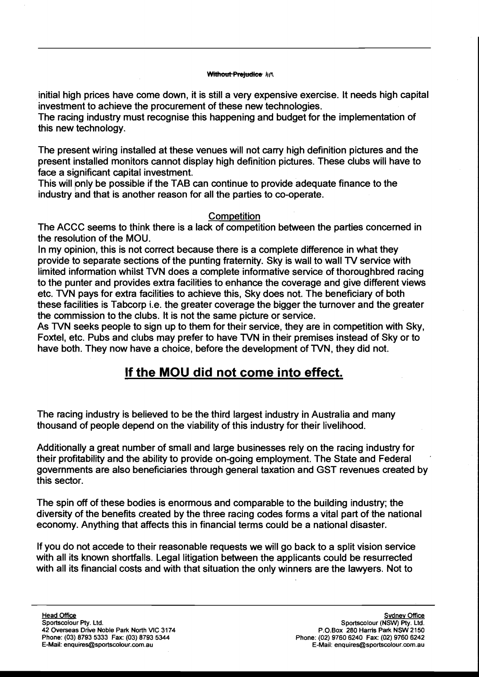#### Without Prejudice AM

initial high prices have come down, it is still a very expensive exercise. It needs high capital investment to achieve the procurement of these new technologies.

The racing industry must recognise this happening and budget for the implementation of this new technology.

The present wiring installed at these venues will not carry high definition pictures and the present installed monitors cannot display high definition pictures. These clubs will have to face a significant capital investment.

This will only be possible if the TAB can continue to provide adequate finance to the industry and that is another reason for all the parties to co-operate.

### **Competition**

The ACCC seems to think there is a lack of competition between the parties concerned in the resolution of the MOU.

In my opinion, this is not correct because there is a complete difference in what they provide to separate sections of the punting fraternity. Sky is wall to wall TV service with limited information whilst TVN does a complete informative service of thoroughbred racing to the punter and provides extra facilities to enhance the coverage and give different views etc. NN pays for extra facilities to achieve this, Sky does not. The beneficiary of both these facilities is Tabcorp i.e. the greater coverage the bigger the turnover and the greater the commission to the clubs. It is not the same picture or service.

As TVN seeks people to sign up to them for their service, they are in competition with Sky, Foxtel, etc. Pubs and clubs may prefer to have TVN in their premises instead of Sky or to have both. They now have a choice, before the development of TVN, they did not.

# **If the MOU did not come into effect.**

The racing industry is believed to be the third largest industry in Australia and many thousand of people depend on the viability of this industry for their livelihood.

Additionally a great number of small and large businesses rely on the racing industry for their profitability and the ability to provide on-going employment. The State and Federal governments are also beneficiaries through general taxation and GST revenues created by this sector.

The spin off of these bodies is enormous and comparable to the building industry; the diversity of the benefits created by the three racing codes forms a vital part of the national economy. Anything that affects this in financial terms could be a national disaster.

If you do not accede to their reasonable requests we will go back to a split vision service with all its known shortfalls. Legal litigation between the applicants could be resurrected with all its financial costs and with that situation the only winners are the lawyers. Not to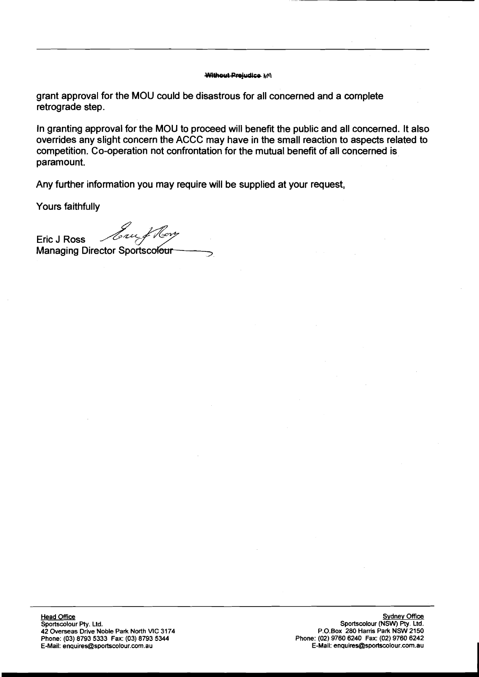#### **Without Prejudice MM**

grant approval for the MOU could be disastrous for all concerned and a complete retrograde step.

In granting approval for the MOU to proceed will benefit the public and all concerned. It also overrides any slight concern the ACCC may have in the small reaction to aspects related to competition. Co-operation not confrontation for the mutual benefit of all concerned is paramount.

Any further information you may require will be supplied at your request,

Yours faithfully

Eric J Ross *Jour of V* Managing Director ~po&c& ..